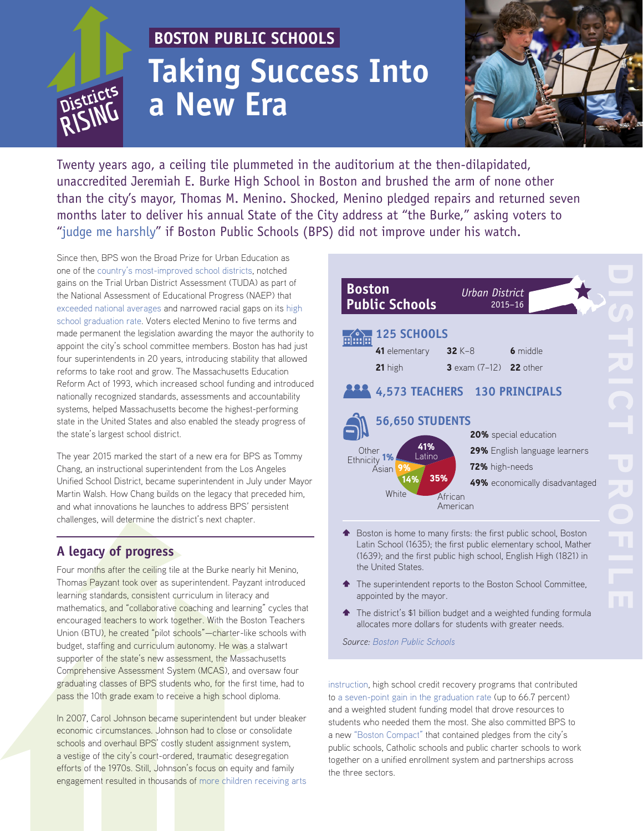# **BOSTON PUBLIC SCHOOLS Taking Success Into** *Districts* **a New Era a New Era**



Twenty years ago, a ceiling tile plummeted in the auditorium at the then-dilapidated, unaccredited Jeremiah E. Burke High School in Boston and brushed the arm of none other than the city's mayor, Thomas M. Menino. Shocked, Menino pledged repairs and returned seven months later to deliver his annual State of the City address at "the Burke," asking voters to ["judge me harshly](http://www.boston.com/news/local/articles/2005/05/22/an_uphill_battle_for_better_schools/?page=full)" if Boston Public Schools (BPS) did not improve under his watch.

Since then, BPS won the Broad Prize for Urban Education as one of the [country's most-improved school districts](http://www.broadprize.org/past_winners/2006.html), notched gains on the Trial Urban District Assessment (TUDA) as part of the National Assessment of Educational Progress (NAEP) that [exceeded national averages](http://bostonpublicschools.org/cms/lib07/MA01906464/Centricity/Domain/238/Final%20Complete%20Report%20on%202015%20TUDA%20NAEP.pdf) and narrowed racial gaps on its [high](http://bostonpublicschools.org/cms/lib07/MA01906464/Centricity/Domain/238/Cohort%202014%204Y%20Graduation%20Rate.pdf)  [school graduation rate.](http://bostonpublicschools.org/cms/lib07/MA01906464/Centricity/Domain/238/Cohort%202014%204Y%20Graduation%20Rate.pdf) Voters elected Menino to five terms and made permanent the legislation awarding the mayor the authority to appoint the city's school committee members. Boston has had just four superintendents in 20 years, introducing stability that allowed reforms to take root and grow. The Massachusetts Education Reform Act of 1993, which increased school funding and introduced nationally recognized standards, assessments and accountability systems, helped Massachusetts become the highest-performing state in the United States and also enabled the steady progress of the state's largest school district.

The year 2015 marked the start of a new era for BPS as Tommy Chang, an instructional superintendent from the Los Angeles Unified School District, became superintendent in July under Mayor Martin Walsh. How Chang builds on the legacy that preceded him, and what innovations he launches to address BPS' persistent challenges, will determine the district's next chapter.

### **A legacy of progress**

Four months after the ceiling tile at the Burke nearly hit Menino, Thomas Payzant took over as superintendent. Payzant introduced learning standards, consistent curriculum in literacy and mathematics, and "collaborative coaching and learning" cycles that encouraged teachers to work together. With the Boston Teachers Union (BTU), he created "pilot schools"—charter-like schools with budget, staffing and curriculum autonomy. He was a stalwart supporter of the state's new assessment, the Massachusetts Comprehensive Assessment System (MCAS), and oversaw four graduating classes of BPS students who, for the first time, had to pass the 10th grade exam to receive a high school diploma.

In 2007, Carol Johnson became superintendent but under bleaker economic circumstances. Johnson had to close or consolidate schools and overhaul BPS' costly student assignment system, a vestige of the city's court-ordered, traumatic desegregation efforts of the 1970s. Still, Johnson's focus on equity and family engagement resulted in thousands of [more children receiving arts](http://www.bpsarts.org/bps-arts-expansion-initiative/) 

| <b>Boston</b><br><b>Public Schools</b>                                                                                                 | <b>Urban District</b><br>$2015 - 16$                         |
|----------------------------------------------------------------------------------------------------------------------------------------|--------------------------------------------------------------|
| <b>125 SCHOOLS</b><br>minin<br>41 elementary<br>21 high                                                                                | 6 middle<br>32 K-8<br><b>3</b> exam $(7-12)$ <b>22</b> other |
| 4,573 TEACHERS 130 PRINCIPALS<br><b>56,650 STUDENTS</b>                                                                                |                                                              |
| <b>20%</b> special education<br>41%<br>Other<br>Latino<br>Ethnicity<br>72% high-needs<br>9%<br>Asian<br>35%<br>14%<br>White<br>African | 29% English language learners                                |
|                                                                                                                                        | 49% economically disadvantaged                               |
|                                                                                                                                        | American                                                     |

- $\triangle$  Boston is home to many firsts: the first public school, Boston Latin School (1635); the first public elementary school, Mather (1639); and the first public high school, English High (1821) in the United States.
- The superintendent reports to the Boston School Committee, appointed by the mayor.
- **The district's \$1 billion budget and a weighted funding formula** allocates more dollars for students with greater needs.

*Source: [Boston Public Schools](http://www.bostonpublicschools.org/cms/lib07/MA01906464/Centricity/Domain/4/BPS%20at%20a%20Glance%2015-1109.pdf)*

[instruction,](http://www.bpsarts.org/bps-arts-expansion-initiative/) high school credit recovery programs that contributed to [a seven-point gain in the graduation rate](http://bostonpublicschools.org/cms/lib07/MA01906464/Centricity/Domain/238/Cohort%202014%204Y%20Graduation%20Rate.pdf) (up to 66.7 percent) and a weighted student funding model that drove resources to students who needed them the most. She also committed BPS to a new ["Boston Compact"](www.bostoncompact.org) that contained pledges from the city's public schools, Catholic schools and public charter schools to work together on a unified enrollment system and partnerships across the three sectors.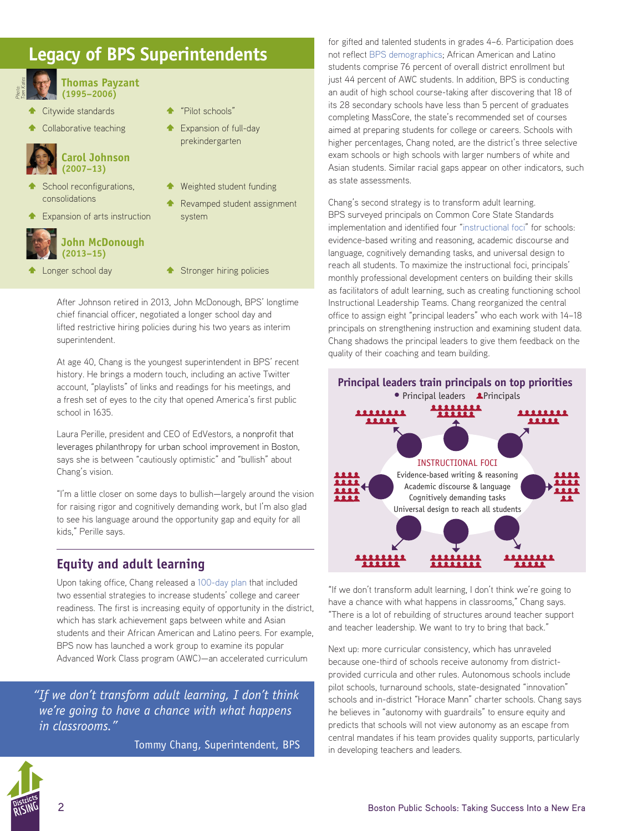## **Legacy of BPS Superintendents**



**Thomas Payzant (1995–2006)**

- Citywide standards
- Collaborative teaching



- School reconfigurations, consolidations
- **Expansion of arts instruction**



#### **John McDonough (2013–15)**

- 
- 

system

"Pilot schools"

**Expansion of full-day** prekindergarten

Weighted student funding Revamped student assignment

<sup>▲</sup> Longer school day **\* Stronger hiring policies** 

After Johnson retired in 2013, John McDonough, BPS' longtime chief financial officer, negotiated a longer school day and lifted restrictive hiring policies during his two years as interim superintendent.

At age 40, Chang is the youngest superintendent in BPS' recent history. He brings a modern touch, including an active Twitter account, "playlists" of links and readings for his meetings, and a fresh set of eyes to the city that opened America's first public school in 1635.

Laura Perille, president and CEO of EdVestors, a nonprofit that leverages philanthropy for urban school improvement in Boston, says she is between "cautiously optimistic" and "bullish" about Chang's vision.

"I'm a little closer on some days to bullish—largely around the vision for raising rigor and cognitively demanding work, but I'm also glad to see his language around the opportunity gap and equity for all kids," Perille says.

#### **Equity and adult learning**

Upon taking office, Chang released a [100-day plan](http://bostonpublicschools.org/domain/1910) that included two essential strategies to increase students' college and career readiness. The first is increasing equity of opportunity in the district, which has stark achievement gaps between white and Asian students and their African American and Latino peers. For example, BPS now has launched a work group to examine its popular Advanced Work Class program (AWC)—an accelerated curriculum

*"If we don't transform adult learning, I don't think we're going to have a chance with what happens in classrooms."* 

Tommy Chang, Superintendent, BPS

for gifted and talented students in grades 4–6. Participation does not reflect [BPS demographics](https://docs.google.com/presentation/d/1JuVyL9Z7YFAzLLf8cdWTZZge8kza-19K3Ht9ye7stPQ/edit?ts=56424cc6#slide=id.p4); African American and Latino students comprise 76 percent of overall district enrollment but just 44 percent of AWC students. In addition, BPS is conducting an audit of high school course-taking after discovering that 18 of its 28 secondary schools have less than 5 percent of graduates completing MassCore, the state's recommended set of courses aimed at preparing students for college or careers. Schools with higher percentages, Chang noted, are the district's three selective exam schools or high schools with larger numbers of white and Asian students. Similar racial gaps appear on other indicators, such as state assessments.

Chang's second strategy is to transform adult learning. BPS surveyed principals on Common Core State Standards implementation and identified four "[instructional foci](http://www.bostonpublicschools.org/professionallearning)" for schools: evidence-based writing and reasoning, academic discourse and language, cognitively demanding tasks, and universal design to reach all students. To maximize the instructional foci, principals' monthly professional development centers on building their skills as facilitators of adult learning, such as creating functioning school Instructional Leadership Teams. Chang reorganized the central office to assign eight "principal leaders" who each work with 14–18 principals on strengthening instruction and examining student data. Chang shadows the principal leaders to give them feedback on the quality of their coaching and team building.



"If we don't transform adult learning, I don't think we're going to have a chance with what happens in classrooms," Chang says. "There is a lot of rebuilding of structures around teacher support and teacher leadership. We want to try to bring that back."

Next up: more curricular consistency, which has unraveled because one-third of schools receive autonomy from districtprovided curricula and other rules. Autonomous schools include pilot schools, turnaround schools, state-designated "innovation" schools and in-district "Horace Mann" charter schools. Chang says he believes in "autonomy with guardrails" to ensure equity and predicts that schools will not view autonomy as an escape from central mandates if his team provides quality supports, particularly in developing teachers and leaders.

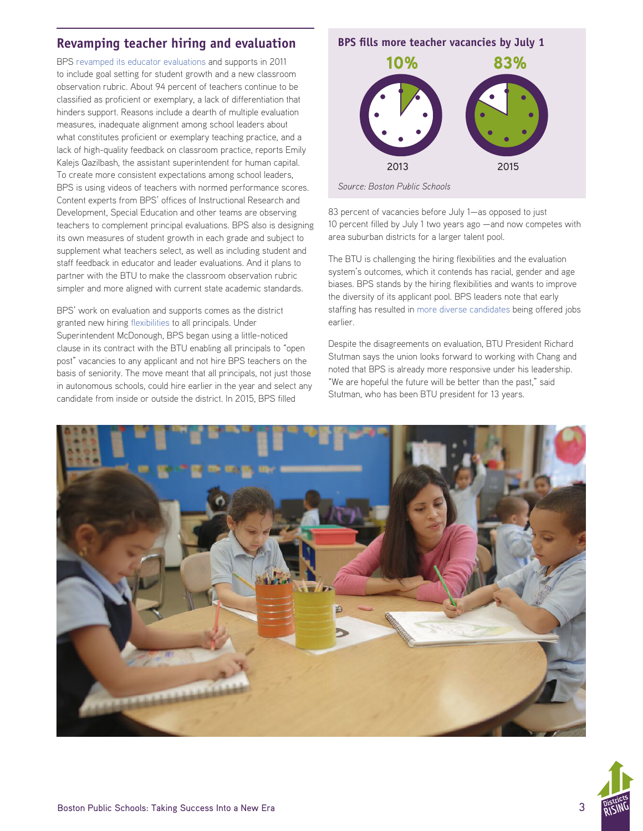#### **Revamping teacher hiring and evaluation BPS fills more teacher vacancies by July 1**

BPS [revamped its educator evaluations](http://bostonpublicschools.org/Page/807) and supports in 2011 to include goal setting for student growth and a new classroom observation rubric. About 94 percent of teachers continue to be classified as proficient or exemplary, a lack of differentiation that hinders support. Reasons include a dearth of multiple evaluation measures, inadequate alignment among school leaders about what constitutes proficient or exemplary teaching practice, and a lack of high-quality feedback on classroom practice, reports Emily Kalejs Qazilbash, the assistant superintendent for human capital. To create more consistent expectations among school leaders, BPS is using videos of teachers with normed performance scores. Content experts from BPS' offices of Instructional Research and Development, Special Education and other teams are observing teachers to complement principal evaluations. BPS also is designing its own measures of student growth in each grade and subject to supplement what teachers select, as well as including student and staff feedback in educator and leader evaluations. And it plans to partner with the BTU to make the classroom observation rubric simpler and more aligned with current state academic standards.

BPS' work on evaluation and supports comes as the district granted new hiring [flexibilities](http://bostonpublicschools.org/Page/807) to all principals. Under Superintendent McDonough, BPS began using a little-noticed clause in its contract with the BTU enabling all principals to "open post" vacancies to any applicant and not hire BPS teachers on the basis of seniority. The move meant that all principals, not just those in autonomous schools, could hire earlier in the year and select any candidate from inside or outside the district. In 2015, BPS filled



83 percent of vacancies before July 1—as opposed to just 10 percent filled by July 1 two years ago —and now competes with area suburban districts for a larger talent pool.

The BTU is challenging the hiring flexibilities and the evaluation system's outcomes, which it contends has racial, gender and age biases. BPS stands by the hiring flexibilities and wants to improve the diversity of its applicant pool. BPS leaders note that early staffing has resulted in [more diverse candidates](http://bostonpublicschools.org/cms/lib07/MA01906464/Centricity/Domain/162/School%20Committee_October_FINAL_10_14.pdf) being offered jobs earlier.

Despite the disagreements on evaluation, BTU President Richard Stutman says the union looks forward to working with Chang and noted that BPS is already more responsive under his leadership. "We are hopeful the future will be better than the past," said Stutman, who has been BTU president for 13 years.